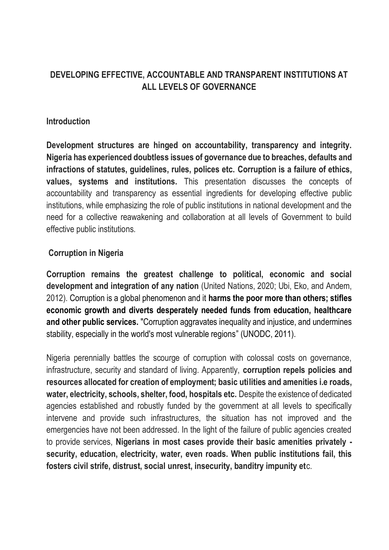# **DEVELOPING EFFECTIVE, ACCOUNTABLE AND TRANSPARENT INSTITUTIONS AT ALL LEVELS OF GOVERNANCE**

#### **Introduction**

**Development structures are hinged on accountability, transparency and integrity. Nigeria has experienced doubtless issues of governance due to breaches, defaults and infractions of statutes, guidelines, rules, polices etc. Corruption is a failure of ethics, values, systems and institutions.** This presentation discusses the concepts of accountability and transparency as essential ingredients for developing effective public institutions, while emphasizing the role of public institutions in national development and the need for a collective reawakening and collaboration at all levels of Government to build effective public institutions.

### **Corruption in Nigeria**

**Corruption remains the greatest challenge to political, economic and social development and integration of any nation** (United Nations, 2020; Ubi, Eko, and Andem, 2012). Corruption is a global phenomenon and it **harms the poor more than others; stifles economic growth and diverts desperately needed funds from education, healthcare and other public services.** "Corruption aggravates inequality and injustice, and undermines stability, especially in the world's most vulnerable regions" (UNODC, 2011).

Nigeria perennially battles the scourge of corruption with colossal costs on governance, infrastructure, security and standard of living. Apparently, **corruption repels policies and resources allocated for creation of employment; basic utilities and amenities i.e roads, water, electricity, schools, shelter, food, hospitals etc.** Despite the existence of dedicated agencies established and robustly funded by the government at all levels to specifically intervene and provide such infrastructures, the situation has not improved and the emergencies have not been addressed. In the light of the failure of public agencies created to provide services, **Nigerians in most cases provide their basic amenities privately security, education, electricity, water, even roads. When public institutions fail, this fosters civil strife, distrust, social unrest, insecurity, banditry impunity et**c.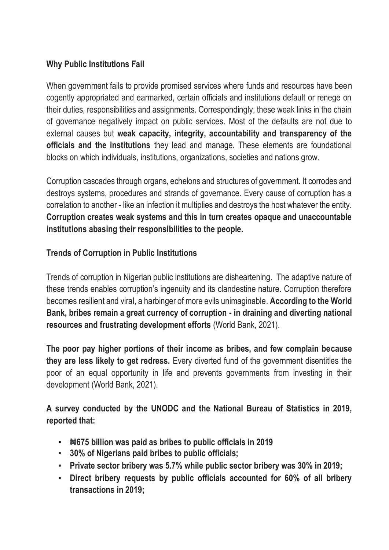### **Why Public Institutions Fail**

When government fails to provide promised services where funds and resources have been cogently appropriated and earmarked, certain officials and institutions default or renege on their duties, responsibilities and assignments. Correspondingly, these weak links in the chain of governance negatively impact on public services. Most of the defaults are not due to external causes but **weak capacity, integrity, accountability and transparency of the officials and the institutions** they lead and manage. These elements are foundational blocks on which individuals, institutions, organizations, societies and nations grow.

Corruption cascades through organs, echelons and structures of government. It corrodes and destroys systems, procedures and strands of governance. Every cause of corruption has a correlation to another - like an infection it multiplies and destroys the host whatever the entity. **Corruption creates weak systems and this in turn creates opaque and unaccountable institutions abasing their responsibilities to the people.** 

## **Trends of Corruption in Public Institutions**

Trends of corruption in Nigerian public institutions are disheartening. The adaptive nature of these trends enables corruption's ingenuity and its clandestine nature. Corruption therefore becomes resilient and viral, a harbinger of more evils unimaginable. **According to the World Bank, bribes remain a great currency of corruption - in draining and diverting national resources and frustrating development efforts** (World Bank, 2021).

**The poor pay higher portions of their income as bribes, and few complain because they are less likely to get redress.** Every diverted fund of the government disentitles the poor of an equal opportunity in life and prevents governments from investing in their development (World Bank, 2021).

**A survey conducted by the UNODC and the National Bureau of Statistics in 2019, reported that:**

- **₦675 billion was paid as bribes to public officials in 2019**
- **30% of Nigerians paid bribes to public officials;**
- **Private sector bribery was 5.7% while public sector bribery was 30% in 2019;**
- **Direct bribery requests by public officials accounted for 60% of all bribery transactions in 2019;**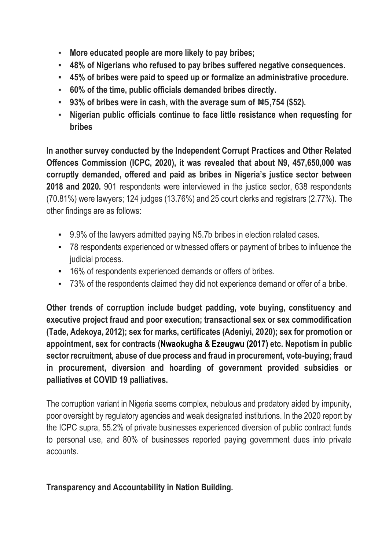- **More educated people are more likely to pay bribes;**
- **48% of Nigerians who refused to pay bribes suffered negative consequences.**
- **45% of bribes were paid to speed up or formalize an administrative procedure.**
- **60% of the time, public officials demanded bribes directly.**
- **93% of bribes were in cash, with the average sum of ₦5,754 (\$52).**
- **Nigerian public officials continue to face little resistance when requesting for bribes**

**In another survey conducted by the Independent Corrupt Practices and Other Related Offences Commission (ICPC, 2020), it was revealed that about N9, 457,650,000 was corruptly demanded, offered and paid as bribes in Nigeria's justice sector between 2018 and 2020.** 901 respondents were interviewed in the justice sector, 638 respondents (70.81%) were lawyers; 124 judges (13.76%) and 25 court clerks and registrars (2.77%). The other findings are as follows:

- 9.9% of the lawyers admitted paying N5.7b bribes in election related cases.
- 78 respondents experienced or witnessed offers or payment of bribes to influence the judicial process.
- 16% of respondents experienced demands or offers of bribes.
- 73% of the respondents claimed they did not experience demand or offer of a bribe.

**Other trends of corruption include budget padding, vote buying, constituency and executive project fraud and poor execution; transactional sex or sex commodification (Tade, Adekoya, 2012); sex for marks, certificates (Adeniyi, 2020); sex for promotion or appointment, sex for contracts (Nwaokugha & Ezeugwu (2017) etc. Nepotism in public sector recruitment, abuse of due process and fraud in procurement, vote-buying; fraud in procurement, diversion and hoarding of government provided subsidies or palliatives et COVID 19 palliatives.**

The corruption variant in Nigeria seems complex, nebulous and predatory aided by impunity, poor oversight by regulatory agencies and weak designated institutions. In the 2020 report by the ICPC supra, 55.2% of private businesses experienced diversion of public contract funds to personal use, and 80% of businesses reported paying government dues into private accounts.

### **Transparency and Accountability in Nation Building.**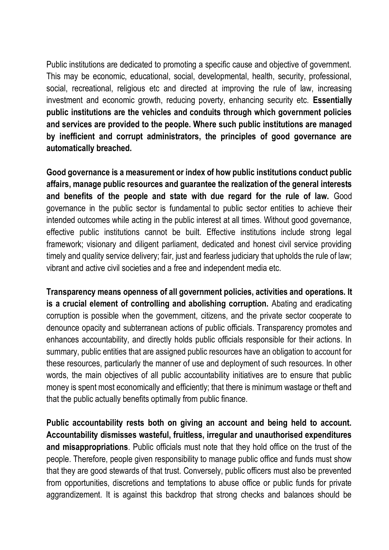Public institutions are dedicated to promoting a specific cause and objective of government. This may be economic, educational, social, developmental, health, security, professional, social, recreational, religious etc and directed at improving the rule of law, increasing investment and economic growth, reducing poverty, enhancing security etc. **Essentially public institutions are the vehicles and conduits through which government policies and services are provided to the people. Where such public institutions are managed by inefficient and corrupt administrators, the principles of good governance are automatically breached.** 

**Good governance is a measurement or index of how public institutions conduct public affairs, manage public resources and guarantee the realization of the general interests and benefits of the people and state with due regard for the rule of law.** Good governance in the public sector is fundamental to public sector entities to achieve their intended outcomes while acting in the public interest at all times. Without good governance, effective public institutions cannot be built. Effective institutions include strong legal framework; visionary and diligent parliament, dedicated and honest civil service providing timely and quality service delivery; fair, just and fearless judiciary that upholds the rule of law; vibrant and active civil societies and a free and independent media etc.

**Transparency means openness of all government policies, activities and operations. It is a crucial element of controlling and abolishing corruption.** Abating and eradicating corruption is possible when the government, citizens, and the private sector cooperate to denounce opacity and subterranean actions of public officials. Transparency promotes and enhances accountability, and directly holds public officials responsible for their actions. In summary, public entities that are assigned public resources have an obligation to account for these resources, particularly the manner of use and deployment of such resources. In other words, the main objectives of all public accountability initiatives are to ensure that public money is spent most economically and efficiently; that there is minimum wastage or theft and that the public actually benefits optimally from public finance.

**Public accountability rests both on giving an account and being held to account. Accountability dismisses wasteful, fruitless, irregular and unauthorised expenditures and misappropriations**. Public officials must note that they hold office on the trust of the people. Therefore, people given responsibility to manage public office and funds must show that they are good stewards of that trust. Conversely, public officers must also be prevented from opportunities, discretions and temptations to abuse office or public funds for private aggrandizement. It is against this backdrop that strong checks and balances should be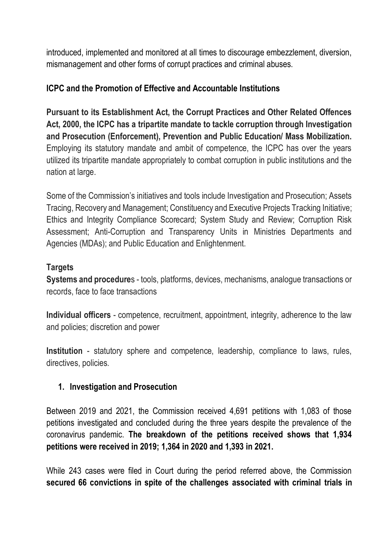introduced, implemented and monitored at all times to discourage embezzlement, diversion, mismanagement and other forms of corrupt practices and criminal abuses.

### **ICPC and the Promotion of Effective and Accountable Institutions**

**Pursuant to its Establishment Act, the Corrupt Practices and Other Related Offences Act, 2000, the ICPC has a tripartite mandate to tackle corruption through Investigation and Prosecution (Enforcement), Prevention and Public Education/ Mass Mobilization.** Employing its statutory mandate and ambit of competence, the ICPC has over the years utilized its tripartite mandate appropriately to combat corruption in public institutions and the nation at large.

Some of the Commission's initiatives and tools include Investigation and Prosecution; Assets Tracing, Recovery and Management; Constituency and Executive Projects Tracking Initiative; Ethics and Integrity Compliance Scorecard; System Study and Review; Corruption Risk Assessment; Anti-Corruption and Transparency Units in Ministries Departments and Agencies (MDAs); and Public Education and Enlightenment.

### **Targets**

**Systems and procedure**s - tools, platforms, devices, mechanisms, analogue transactions or records, face to face transactions

**Individual officers** - competence, recruitment, appointment, integrity, adherence to the law and policies; discretion and power

**Institution** - statutory sphere and competence, leadership, compliance to laws, rules, directives, policies.

### **1. Investigation and Prosecution**

Between 2019 and 2021, the Commission received 4,691 petitions with 1,083 of those petitions investigated and concluded during the three years despite the prevalence of the coronavirus pandemic. **The breakdown of the petitions received shows that 1,934 petitions were received in 2019; 1,364 in 2020 and 1,393 in 2021.**

While 243 cases were filed in Court during the period referred above, the Commission **secured 66 convictions in spite of the challenges associated with criminal trials in**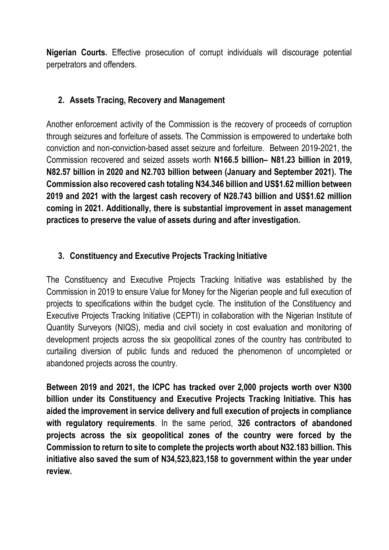**Nigerian Courts.** Effective prosecution of corrupt individuals will discourage potential perpetrators and offenders.

### **2. Assets Tracing, Recovery and Management**

Another enforcement activity of the Commission is the recovery of proceeds of corruption through seizures and forfeiture of assets. The Commission is empowered to undertake both conviction and non-conviction-based asset seizure and forfeiture. Between 2019-2021, the Commission recovered and seized assets worth **N166.5 billion– N81.23 billion in 2019, N82.57 billion in 2020 and N2.703 billion between (January and September 2021). The Commission also recovered cash totaling N34.346 billion and US\$1.62 million between 2019 and 2021 with the largest cash recovery of N28.743 billion and US\$1.62 million coming in 2021. Additionally, there is substantial improvement in asset management practices to preserve the value of assets during and after investigation.** 

### **3. Constituency and Executive Projects Tracking Initiative**

The Constituency and Executive Projects Tracking Initiative was established by the Commission in 2019 to ensure Value for Money for the Nigerian people and full execution of projects to specifications within the budget cycle. The institution of the Constituency and Executive Projects Tracking Initiative (CEPTI) in collaboration with the Nigerian Institute of Quantity Surveyors (NIQS), media and civil society in cost evaluation and monitoring of development projects across the six geopolitical zones of the country has contributed to curtailing diversion of public funds and reduced the phenomenon of uncompleted or abandoned projects across the country.

**Between 2019 and 2021, the ICPC has tracked over 2,000 projects worth over N300 billion under its Constituency and Executive Projects Tracking Initiative. This has aided the improvement in service delivery and full execution of projects in compliance with regulatory requirements**. In the same period, **326 contractors of abandoned projects across the six geopolitical zones of the country were forced by the Commission to return to site to complete the projects worth about N32.183 billion. This initiative also saved the sum of N34,523,823,158 to government within the year under review.**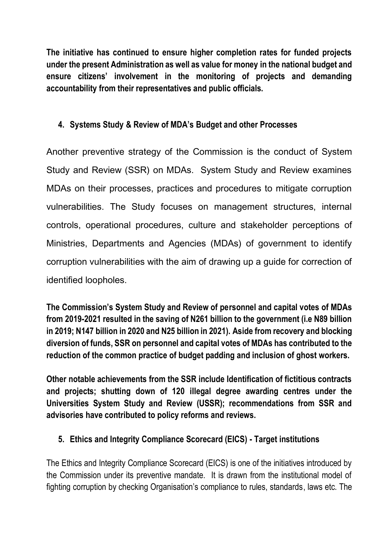**The initiative has continued to ensure higher completion rates for funded projects under the present Administration as well as value for money in the national budget and ensure citizens' involvement in the monitoring of projects and demanding accountability from their representatives and public officials.** 

## **4. Systems Study & Review of MDA's Budget and other Processes**

Another preventive strategy of the Commission is the conduct of System Study and Review (SSR) on MDAs. System Study and Review examines MDAs on their processes, practices and procedures to mitigate corruption vulnerabilities. The Study focuses on management structures, internal controls, operational procedures, culture and stakeholder perceptions of Ministries, Departments and Agencies (MDAs) of government to identify corruption vulnerabilities with the aim of drawing up a guide for correction of identified loopholes.

**The Commission's System Study and Review of personnel and capital votes of MDAs from 2019-2021 resulted in the saving of N261 billion to the government (i.e N89 billion in 2019; N147 billion in 2020 and N25 billion in 2021). Aside from recovery and blocking diversion of funds, SSR on personnel and capital votes of MDAs has contributed to the reduction of the common practice of budget padding and inclusion of ghost workers.**

**Other notable achievements from the SSR include Identification of fictitious contracts and projects; shutting down of 120 illegal degree awarding centres under the Universities System Study and Review (USSR); recommendations from SSR and advisories have contributed to policy reforms and reviews.** 

## **5. Ethics and Integrity Compliance Scorecard (EICS) - Target institutions**

The Ethics and Integrity Compliance Scorecard (EICS) is one of the initiatives introduced by the Commission under its preventive mandate. It is drawn from the institutional model of fighting corruption by checking Organisation's compliance to rules, standards, laws etc. The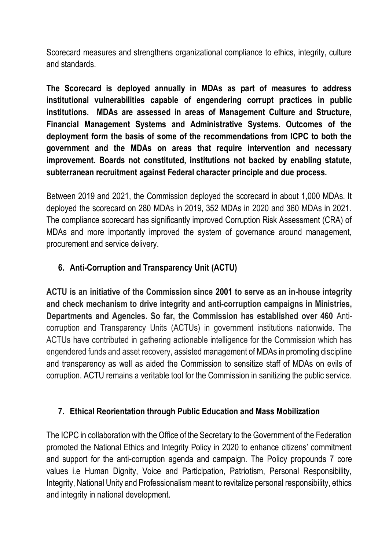Scorecard measures and strengthens organizational compliance to ethics, integrity, culture and standards.

**The Scorecard is deployed annually in MDAs as part of measures to address institutional vulnerabilities capable of engendering corrupt practices in public institutions. MDAs are assessed in areas of Management Culture and Structure, Financial Management Systems and Administrative Systems. Outcomes of the deployment form the basis of some of the recommendations from ICPC to both the government and the MDAs on areas that require intervention and necessary improvement. Boards not constituted, institutions not backed by enabling statute, subterranean recruitment against Federal character principle and due process.** 

Between 2019 and 2021, the Commission deployed the scorecard in about 1,000 MDAs. It deployed the scorecard on 280 MDAs in 2019, 352 MDAs in 2020 and 360 MDAs in 2021. The compliance scorecard has significantly improved Corruption Risk Assessment (CRA) of MDAs and more importantly improved the system of governance around management, procurement and service delivery.

# **6. Anti-Corruption and Transparency Unit (ACTU)**

**ACTU is an initiative of the Commission since 2001 to serve as an in-house integrity and check mechanism to drive integrity and anti-corruption campaigns in Ministries, Departments and Agencies. So far, the Commission has established over 460** Anticorruption and Transparency Units (ACTUs) in government institutions nationwide. The ACTUs have contributed in gathering actionable intelligence for the Commission which has engendered funds and asset recovery, assisted management of MDAs in promoting discipline and transparency as well as aided the Commission to sensitize staff of MDAs on evils of corruption. ACTU remains a veritable tool for the Commission in sanitizing the public service.

### **7. Ethical Reorientation through Public Education and Mass Mobilization**

The ICPC in collaboration with the Office of the Secretary to the Government of the Federation promoted the National Ethics and Integrity Policy in 2020 to enhance citizens' commitment and support for the anti-corruption agenda and campaign. The Policy propounds 7 core values i.e Human Dignity, Voice and Participation, Patriotism, Personal Responsibility, Integrity, National Unity and Professionalism meant to revitalize personal responsibility, ethics and integrity in national development.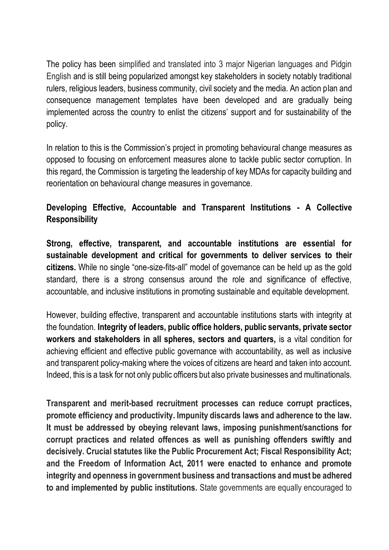The policy has been simplified and translated into 3 major Nigerian languages and Pidgin English and is still being popularized amongst key stakeholders in society notably traditional rulers, religious leaders, business community, civil society and the media. An action plan and consequence management templates have been developed and are gradually being implemented across the country to enlist the citizens' support and for sustainability of the policy.

In relation to this is the Commission's project in promoting behavioural change measures as opposed to focusing on enforcement measures alone to tackle public sector corruption. In this regard, the Commission is targeting the leadership of key MDAs for capacity building and reorientation on behavioural change measures in governance.

## **Developing Effective, Accountable and Transparent Institutions - A Collective Responsibility**

**Strong, effective, transparent, and accountable institutions are essential for sustainable development and critical for governments to deliver services to their citizens.** While no single "one-size-fits-all" model of governance can be held up as the gold standard, there is a strong consensus around the role and significance of effective, accountable, and inclusive institutions in promoting sustainable and equitable development.

However, building effective, transparent and accountable institutions starts with integrity at the foundation. **Integrity of leaders, public office holders, public servants, private sector workers and stakeholders in all spheres, sectors and quarters,** is a vital condition for achieving efficient and effective public governance with accountability, as well as inclusive and transparent policy-making where the voices of citizens are heard and taken into account. Indeed, this is a task for not only public officers but also private businesses and multinationals.

**Transparent and merit-based recruitment processes can reduce corrupt practices, promote efficiency and productivity. Impunity discards laws and adherence to the law. It must be addressed by obeying relevant laws, imposing punishment/sanctions for corrupt practices and related offences as well as punishing offenders swiftly and decisively. Crucial statutes like the Public Procurement Act; Fiscal Responsibility Act; and the Freedom of Information Act, 2011 were enacted to enhance and promote integrity and openness in government business and transactions and must be adhered to and implemented by public institutions.** State governments are equally encouraged to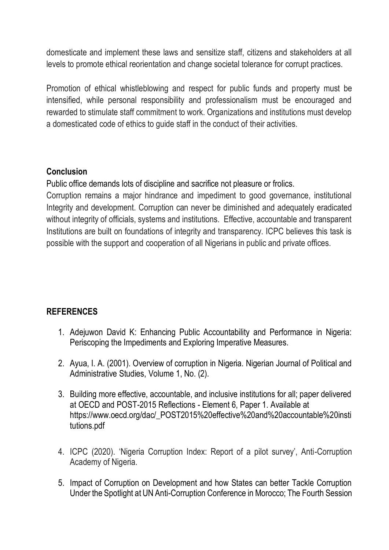domesticate and implement these laws and sensitize staff, citizens and stakeholders at all levels to promote ethical reorientation and change societal tolerance for corrupt practices.

Promotion of ethical whistleblowing and respect for public funds and property must be intensified, while personal responsibility and professionalism must be encouraged and rewarded to stimulate staff commitment to work. Organizations and institutions must develop a domesticated code of ethics to guide staff in the conduct of their activities.

### **Conclusion**

Public office demands lots of discipline and sacrifice not pleasure or frolics.

Corruption remains a major hindrance and impediment to good governance, institutional Integrity and development. Corruption can never be diminished and adequately eradicated without integrity of officials, systems and institutions. Effective, accountable and transparent Institutions are built on foundations of integrity and transparency. ICPC believes this task is possible with the support and cooperation of all Nigerians in public and private offices.

### **REFERENCES**

- 1. Adejuwon David K: Enhancing Public Accountability and Performance in Nigeria: Periscoping the Impediments and Exploring Imperative Measures.
- 2. Ayua, I. A. (2001). Overview of corruption in Nigeria. Nigerian Journal of Political and Administrative Studies, Volume 1, No. (2).
- 3. Building more effective, accountable, and inclusive institutions for all; paper delivered at OECD and POST-2015 Reflections - Element 6, Paper 1. Available at [https://www.oecd.org/dac/\\_POST2015%20effective%20and%20accountable%20insti](https://www.oecd.org/dac/_POST2015%20effective%20and%20accountable%20institutions.pdf) [tutions.pdf](https://www.oecd.org/dac/_POST2015%20effective%20and%20accountable%20institutions.pdf)
- 4. ICPC (2020). 'Nigeria Corruption Index: Report of a pilot survey', Anti-Corruption Academy of Nigeria.
- 5. Impact of Corruption on Development and how States can better Tackle Corruption Under the Spotlight at UN Anti-Corruption Conference in Morocco; The Fourth Session